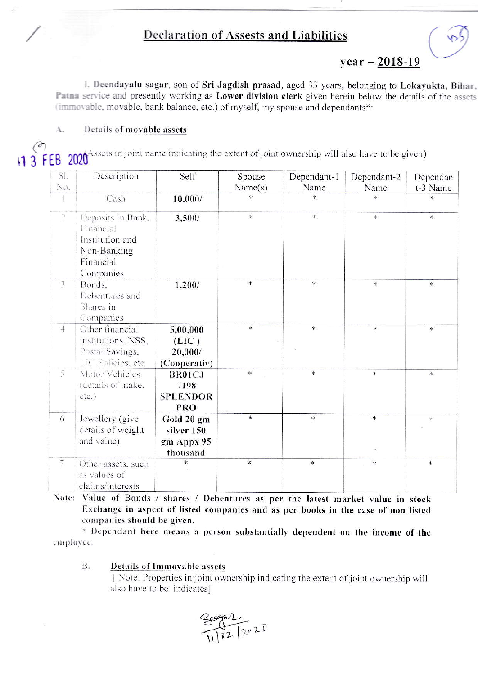## **Declaration of Assests and Liabilities**

 $year - 2018-19$ 

I. Deendayalu sagar, son of Sri Jagdish prasad, aged 33 years, belonging to Lokayukta, Bihar, Patna service and presently working as Lower division clerk given herein below the details of the assets (immovable, movable, bank balance, etc.) of myself, my spouse and dependants\*:

## Details of movable assets Α.

 $\binom{8}{1}$  3 FEB 2020<sup>Assets</sup> in joint name indicating the extent of joint ownership will also have to be given)

| SI.                         | Description                                                                                | Self                                               | Spouse  | Dependant-1   | Dependant-2 | Dependan      |
|-----------------------------|--------------------------------------------------------------------------------------------|----------------------------------------------------|---------|---------------|-------------|---------------|
| No.                         |                                                                                            |                                                    | Name(s) | Name          | Name        | t-3 Name      |
|                             | Cash                                                                                       | 10,000/                                            | $\ast$  | $\ast$        | sk.         | $\ast$        |
| $\ensuremath{\mathfrak{I}}$ | Deposits in Bank.<br>Financial<br>Institution and<br>Non-Banking<br>Financial<br>Companies | 3,500/                                             | 永       | 家。            | 家           | $\ast$        |
| $\mathfrak{Z}$              | Bonds.<br>Debentures and<br>Shares in<br>Companies                                         | 1,200/                                             | $\ast$  | $\ast$        | $\ast$      | $\frac{1}{2}$ |
| $\overline{+}$              | Other financial<br>institutions, NSS,<br>Postal Savings,<br>LIC Policies, etc.             | 5,00,000<br>(LIC)<br>20,000/<br>(Cooperativ)       | $\ast$  | $\ast$        | $\ast$      | *             |
| $\tilde{\gamma}$            | Motor Vehicles<br>(details of make,<br>$etc.$ )                                            | <b>BR01CJ</b><br>7198<br><b>SPLENDOR</b><br>PRO    | $\star$ | $\ast$        | $\ast$      | 家             |
| $\overline{6}$              | Jewellery (give<br>details of weight<br>and value)                                         | Gold 20 gm<br>silver 150<br>gm Appx 95<br>thousand | $\ast$  | $\ast$        | *           | 丰             |
| $\overline{7}$              | Other assets, such<br>as values of<br>claims/interests                                     | $\ast$                                             | $\ast$  | $\frac{1}{2}$ | $\ast$      | 宇             |

Note: Value of Bonds / shares / Debentures as per the latest market value in stock Exchange in aspect of listed companies and as per books in the case of non listed companies should be given.

\* Dependant here means a person substantially dependent on the income of the employee.

## Details of Immovable assets **B.**

| Note: Properties in joint ownership indicating the extent of joint ownership will also have to be indicates]

 $\frac{200002}{11182}$  2020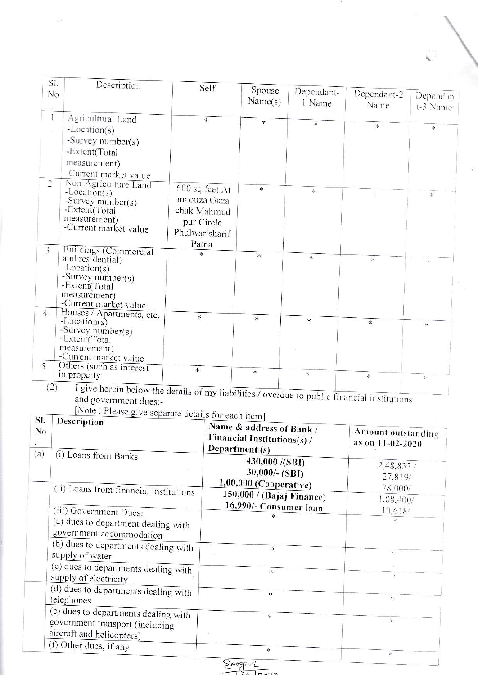| SI.<br>No<br>×      | Description                                                                                                                                        | Self                                                                                  | Spouse<br>Name(s) | Dependant-<br>1 Name | Dependant-2<br>Name | Dependan<br>t-3 Name |
|---------------------|----------------------------------------------------------------------------------------------------------------------------------------------------|---------------------------------------------------------------------------------------|-------------------|----------------------|---------------------|----------------------|
| $\mathbf{I}$        | Agricultural Land<br>$-Location(s)$<br>-Survey number( $s$ )<br>-Extent(Total<br>measurement)                                                      | *                                                                                     | *                 | $\ast$               | $\frac{1}{2}$       | 柒                    |
| $\overline{2}$      | -Current market value<br>Non-Agriculture Land<br>$-Location(s)$<br>-Survey number( $s$ )<br>-Extent(Total<br>measurement)<br>-Current market value | 600 sq feet At<br>maouza Gaza<br>chak Mahmud<br>pur Circle<br>Phulwarisharif<br>Patna | *                 | 柴                    | $\mathbb{R}^2$      | $\ddot{\ast}$        |
| 3                   | Buildings (Commercial<br>and residential)<br>$-Location(s)$<br>-Survey number(s)<br>-Extent(Total<br>measurement)<br>-Current market value         | *                                                                                     | $\frac{1}{2}$     | $\ast$               | 米                   | *                    |
| 4 <sup>1</sup><br>5 | Houses / Apartments, etc.<br>$-Location(s)$<br>-Survey number( $s$ )<br>-Extent(Total<br>measurement)<br>-Current market value                     | $*$                                                                                   | $\frac{d}{dt}$    | *                    | *                   | $\frac{1}{2}$        |
| (2)                 | Others (such as interest<br>in property<br>I give herein below the details of my lightly:                                                          | *                                                                                     | $\ast$            | 氺                    | 柒                   | 家                    |

T give herein below the details of my liabilities / overdue to public financial institutions<br>and government dues:-<br>[Note : Please give separate details for each item]

| SI.<br>N <sub>0</sub><br>(a) | <b>Example 20</b> Separate details for each item<br>Description                                      | Name & address of Bank /<br>Financial Institutions(s) /<br>Department (s) | Amount outstanding<br>as on 11-02-2020 |
|------------------------------|------------------------------------------------------------------------------------------------------|---------------------------------------------------------------------------|----------------------------------------|
|                              | (i) Loans from Banks                                                                                 | 430,000 /(SBI)<br>$30,000/-(SBI)$<br>$1,00,000$ (Cooperative)             | 2,48,833 /<br>27.819/                  |
|                              | (ii) Loans from financial institutions                                                               | 150,000 / (Bajaj Finance)<br>16,990/- Consumer Ioan                       | 78.000/<br>1.08,400/                   |
|                              | (iii) Government Dues:<br>(a) dues to department dealing with<br>government accommodation            |                                                                           | 10.618/                                |
|                              | (b) dues to departments dealing with<br>supply of water                                              | *                                                                         | 宋                                      |
|                              | (c) dues to departments dealing with<br>supply of electricity                                        | $\frac{1}{2}$                                                             | 永                                      |
|                              | (d) dues to departments dealing with<br>telephones                                                   | *                                                                         | 乐                                      |
|                              | (e) dues to departments dealing with<br>government transport (including<br>aircraft and helicopters) | $\frac{1}{2}$                                                             | 幸                                      |
|                              | (f) Other dues, if any                                                                               | 柒                                                                         | 柒                                      |